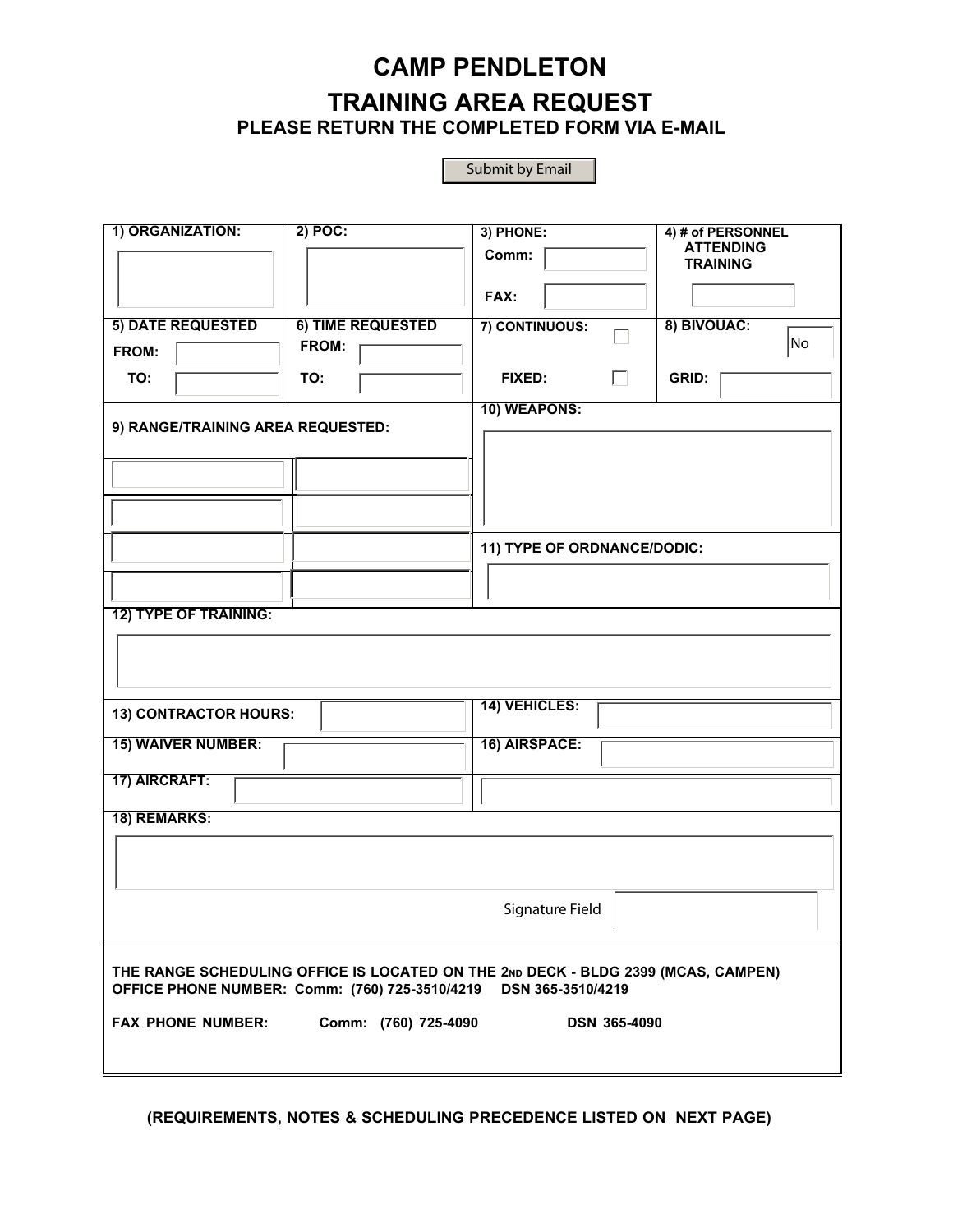## **CAMP PENDLETON TRAINING AREA REQUEST PLEASE RETURN THE COMPLETED FORM VIA E-MAIL**

|                                                                                                                                                          |                   | Submit by Email             |                                     |  |  |
|----------------------------------------------------------------------------------------------------------------------------------------------------------|-------------------|-----------------------------|-------------------------------------|--|--|
|                                                                                                                                                          |                   |                             |                                     |  |  |
| 1) ORGANIZATION:                                                                                                                                         | $2)$ POC:         | 3) PHONE:                   | 4) # of PERSONNEL                   |  |  |
|                                                                                                                                                          |                   | Comm:                       | <b>ATTENDING</b><br><b>TRAINING</b> |  |  |
|                                                                                                                                                          |                   | FAX:                        |                                     |  |  |
| <b>5) DATE REQUESTED</b>                                                                                                                                 | 6) TIME REQUESTED | 7) CONTINUOUS:              | 8) BIVOUAC:<br>No.                  |  |  |
| FROM:                                                                                                                                                    | FROM:             |                             |                                     |  |  |
| TO:                                                                                                                                                      | TO:               | <b>FIXED:</b><br>П          | <b>GRID:</b>                        |  |  |
| 9) RANGE/TRAINING AREA REQUESTED:                                                                                                                        |                   | 10) WEAPONS:                |                                     |  |  |
|                                                                                                                                                          |                   |                             |                                     |  |  |
|                                                                                                                                                          |                   |                             |                                     |  |  |
|                                                                                                                                                          |                   |                             |                                     |  |  |
|                                                                                                                                                          |                   | 11) TYPE OF ORDNANCE/DODIC: |                                     |  |  |
|                                                                                                                                                          |                   |                             |                                     |  |  |
| <b>12) TYPE OF TRAINING:</b>                                                                                                                             |                   |                             |                                     |  |  |
|                                                                                                                                                          |                   |                             |                                     |  |  |
|                                                                                                                                                          |                   |                             |                                     |  |  |
| 13) CONTRACTOR HOURS:                                                                                                                                    |                   | 14) VEHICLES:               |                                     |  |  |
| <b>15) WAIVER NUMBER:</b>                                                                                                                                |                   | 16) AIRSPACE:               |                                     |  |  |
| 17) AIRCRAFT:                                                                                                                                            |                   |                             |                                     |  |  |
| 18) REMARKS:                                                                                                                                             |                   |                             |                                     |  |  |
|                                                                                                                                                          |                   |                             |                                     |  |  |
|                                                                                                                                                          |                   |                             |                                     |  |  |
| Signature Field                                                                                                                                          |                   |                             |                                     |  |  |
|                                                                                                                                                          |                   |                             |                                     |  |  |
| THE RANGE SCHEDULING OFFICE IS LOCATED ON THE 2ND DECK - BLDG 2399 (MCAS, CAMPEN)<br>OFFICE PHONE NUMBER: Comm: (760) 725-3510/4219<br>DSN 365-3510/4219 |                   |                             |                                     |  |  |
| <b>FAX PHONE NUMBER:</b><br>Comm: (760) 725-4090<br><b>DSN 365-4090</b>                                                                                  |                   |                             |                                     |  |  |
|                                                                                                                                                          |                   |                             |                                     |  |  |

**(REQUIREMENTS, NOTES & SCHEDULING PRECEDENCE LISTED ON NEXT PAGE)**